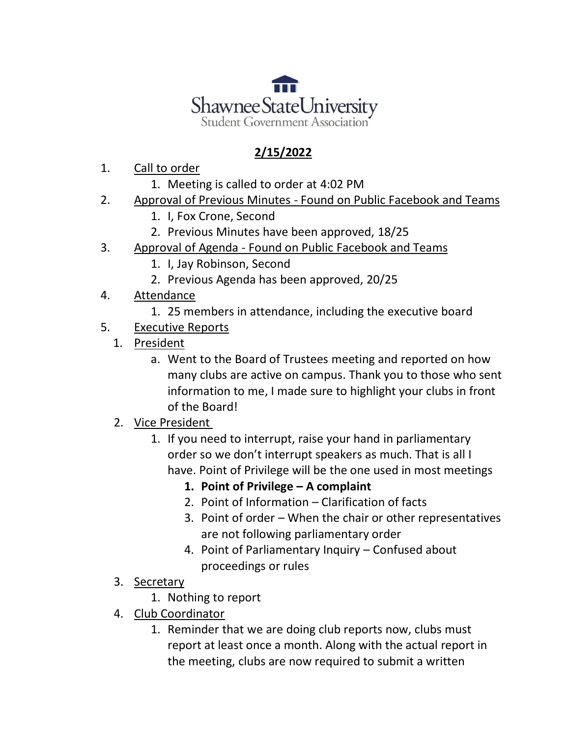

## **2/15/2022**

- 1. Call to order
	- 1. Meeting is called to order at 4:02 PM
- 2. Approval of Previous Minutes Found on Public Facebook and Teams
	- 1. I, Fox Crone, Second
	- 2. Previous Minutes have been approved, 18/25
- 3. Approval of Agenda Found on Public Facebook and Teams
	- 1. I, Jay Robinson, Second
	- 2. Previous Agenda has been approved, 20/25
- 4. Attendance
	- 1. 25 members in attendance, including the executive board
- 5. Executive Reports
	- 1. President
		- a. Went to the Board of Trustees meeting and reported on how many clubs are active on campus. Thank you to those who sent information to me, I made sure to highlight your clubs in front of the Board!
	- 2. Vice President
		- 1. If you need to interrupt, raise your hand in parliamentary order so we don't interrupt speakers as much. That is all I have. Point of Privilege will be the one used in most meetings
			- **1. Point of Privilege – A complaint**
			- 2. Point of Information Clarification of facts
			- 3. Point of order When the chair or other representatives are not following parliamentary order
			- 4. Point of Parliamentary Inquiry Confused about proceedings or rules
	- 3. Secretary
		- 1. Nothing to report
	- 4. Club Coordinator
		- 1. Reminder that we are doing club reports now, clubs must report at least once a month. Along with the actual report in the meeting, clubs are now required to submit a written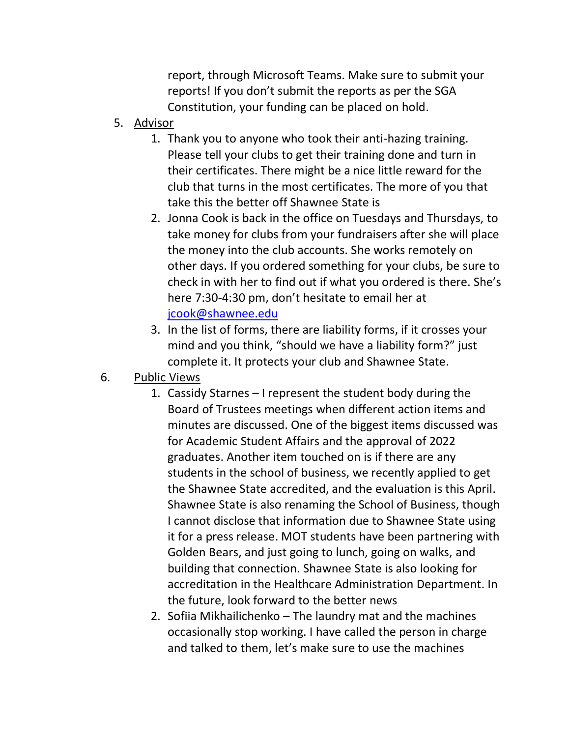report, through Microsoft Teams. Make sure to submit your reports! If you don't submit the reports as per the SGA Constitution, your funding can be placed on hold.

- 5. Advisor
	- 1. Thank you to anyone who took their anti-hazing training. Please tell your clubs to get their training done and turn in their certificates. There might be a nice little reward for the club that turns in the most certificates. The more of you that take this the better off Shawnee State is
	- 2. Jonna Cook is back in the office on Tuesdays and Thursdays, to take money for clubs from your fundraisers after she will place the money into the club accounts. She works remotely on other days. If you ordered something for your clubs, be sure to check in with her to find out if what you ordered is there. She's here 7:30-4:30 pm, don't hesitate to email her at [jcook@shawnee.edu](mailto:jcook@shawnee.edu)
	- 3. In the list of forms, there are liability forms, if it crosses your mind and you think, "should we have a liability form?" just complete it. It protects your club and Shawnee State.
- 6. Public Views
	- 1. Cassidy Starnes I represent the student body during the Board of Trustees meetings when different action items and minutes are discussed. One of the biggest items discussed was for Academic Student Affairs and the approval of 2022 graduates. Another item touched on is if there are any students in the school of business, we recently applied to get the Shawnee State accredited, and the evaluation is this April. Shawnee State is also renaming the School of Business, though I cannot disclose that information due to Shawnee State using it for a press release. MOT students have been partnering with Golden Bears, and just going to lunch, going on walks, and building that connection. Shawnee State is also looking for accreditation in the Healthcare Administration Department. In the future, look forward to the better news
	- 2. Sofiia Mikhailichenko The laundry mat and the machines occasionally stop working. I have called the person in charge and talked to them, let's make sure to use the machines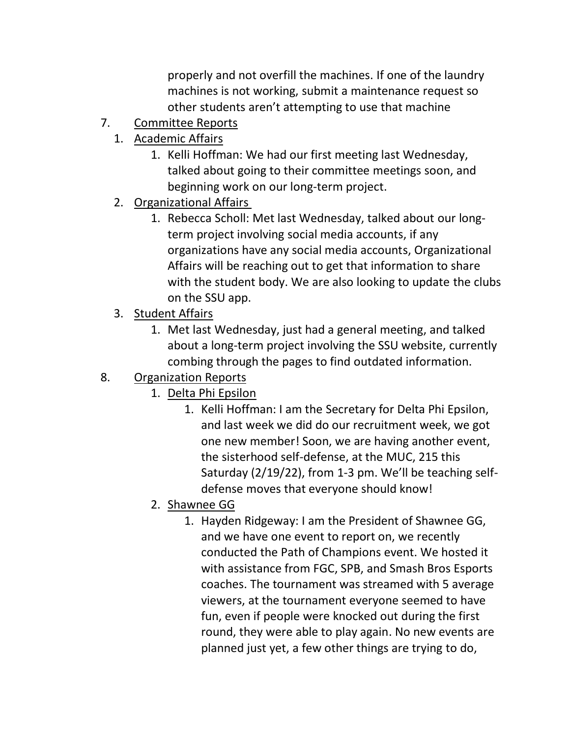properly and not overfill the machines. If one of the laundry machines is not working, submit a maintenance request so other students aren't attempting to use that machine

- 7. Committee Reports
	- 1. Academic Affairs
		- 1. Kelli Hoffman: We had our first meeting last Wednesday, talked about going to their committee meetings soon, and beginning work on our long-term project.
	- 2. Organizational Affairs
		- 1. Rebecca Scholl: Met last Wednesday, talked about our longterm project involving social media accounts, if any organizations have any social media accounts, Organizational Affairs will be reaching out to get that information to share with the student body. We are also looking to update the clubs on the SSU app.
	- 3. Student Affairs
		- 1. Met last Wednesday, just had a general meeting, and talked about a long-term project involving the SSU website, currently combing through the pages to find outdated information.
- 8. Organization Reports
	- 1. Delta Phi Epsilon
		- 1. Kelli Hoffman: I am the Secretary for Delta Phi Epsilon, and last week we did do our recruitment week, we got one new member! Soon, we are having another event, the sisterhood self-defense, at the MUC, 215 this Saturday (2/19/22), from 1-3 pm. We'll be teaching selfdefense moves that everyone should know!
	- 2. Shawnee GG
		- 1. Hayden Ridgeway: I am the President of Shawnee GG, and we have one event to report on, we recently conducted the Path of Champions event. We hosted it with assistance from FGC, SPB, and Smash Bros Esports coaches. The tournament was streamed with 5 average viewers, at the tournament everyone seemed to have fun, even if people were knocked out during the first round, they were able to play again. No new events are planned just yet, a few other things are trying to do,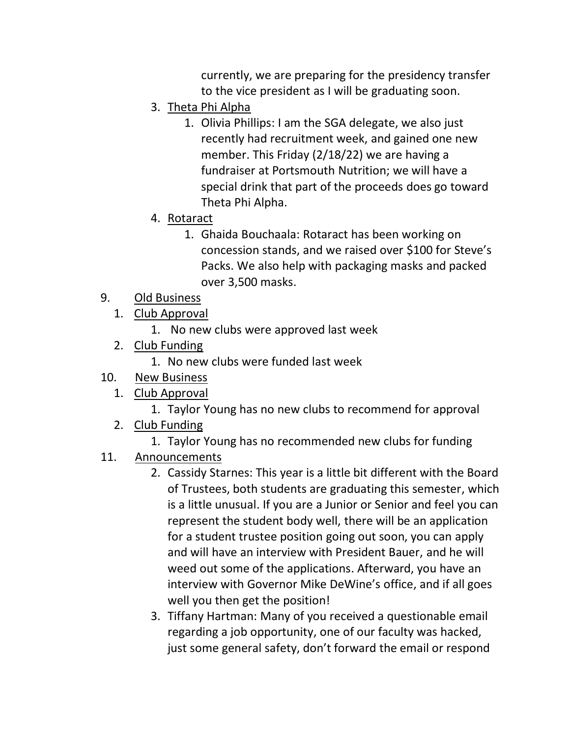currently, we are preparing for the presidency transfer to the vice president as I will be graduating soon.

- 3. Theta Phi Alpha
	- 1. Olivia Phillips: I am the SGA delegate, we also just recently had recruitment week, and gained one new member. This Friday (2/18/22) we are having a fundraiser at Portsmouth Nutrition; we will have a special drink that part of the proceeds does go toward Theta Phi Alpha.
- 4. Rotaract
	- 1. Ghaida Bouchaala: Rotaract has been working on concession stands, and we raised over \$100 for Steve's Packs. We also help with packaging masks and packed over 3,500 masks.
- 9. Old Business
	- 1. Club Approval
		- 1. No new clubs were approved last week
	- 2. Club Funding
		- 1. No new clubs were funded last week
- 10. New Business
	- 1. Club Approval
		- 1. Taylor Young has no new clubs to recommend for approval
	- 2. Club Funding
		- 1. Taylor Young has no recommended new clubs for funding
- 11. Announcements
	- 2. Cassidy Starnes: This year is a little bit different with the Board of Trustees, both students are graduating this semester, which is a little unusual. If you are a Junior or Senior and feel you can represent the student body well, there will be an application for a student trustee position going out soon, you can apply and will have an interview with President Bauer, and he will weed out some of the applications. Afterward, you have an interview with Governor Mike DeWine's office, and if all goes well you then get the position!
	- 3. Tiffany Hartman: Many of you received a questionable email regarding a job opportunity, one of our faculty was hacked, just some general safety, don't forward the email or respond